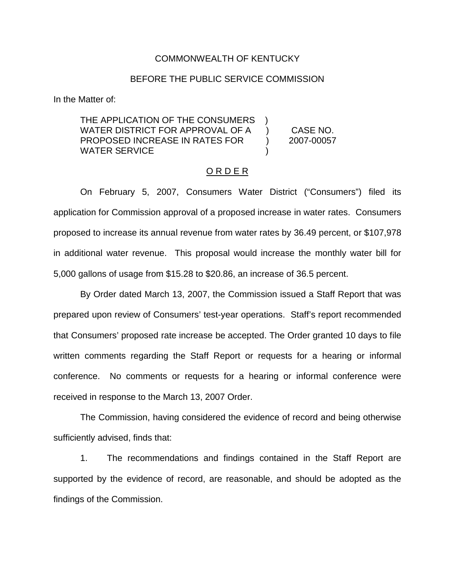## COMMONWEALTH OF KENTUCKY

## BEFORE THE PUBLIC SERVICE COMMISSION

In the Matter of:

THE APPLICATION OF THE CONSUMERS WATER DISTRICT FOR APPROVAL OF A ) CASE NO. PROPOSED INCREASE IN RATES FOR ) 2007-00057 WATER SERVICE

# O R D E R

On February 5, 2007, Consumers Water District ("Consumers") filed its application for Commission approval of a proposed increase in water rates. Consumers proposed to increase its annual revenue from water rates by 36.49 percent, or \$107,978 in additional water revenue. This proposal would increase the monthly water bill for 5,000 gallons of usage from \$15.28 to \$20.86, an increase of 36.5 percent.

By Order dated March 13, 2007, the Commission issued a Staff Report that was prepared upon review of Consumers' test-year operations. Staff's report recommended that Consumers' proposed rate increase be accepted. The Order granted 10 days to file written comments regarding the Staff Report or requests for a hearing or informal conference. No comments or requests for a hearing or informal conference were received in response to the March 13, 2007 Order.

The Commission, having considered the evidence of record and being otherwise sufficiently advised, finds that:

1. The recommendations and findings contained in the Staff Report are supported by the evidence of record, are reasonable, and should be adopted as the findings of the Commission.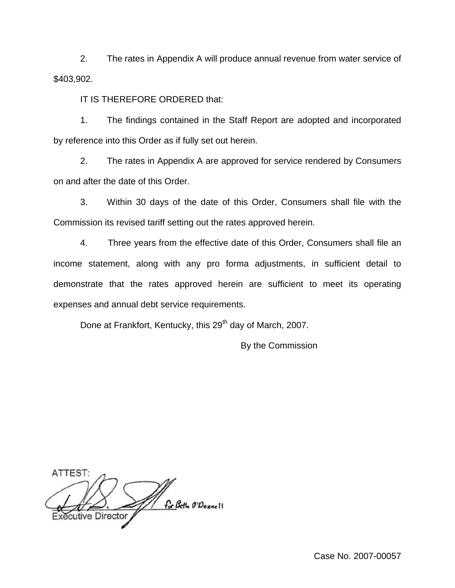2. The rates in Appendix A will produce annual revenue from water service of \$403,902.

IT IS THEREFORE ORDERED that:

1. The findings contained in the Staff Report are adopted and incorporated by reference into this Order as if fully set out herein.

2. The rates in Appendix A are approved for service rendered by Consumers on and after the date of this Order.

3. Within 30 days of the date of this Order, Consumers shall file with the Commission its revised tariff setting out the rates approved herein.

4. Three years from the effective date of this Order, Consumers shall file an income statement, along with any pro forma adjustments, in sufficient detail to demonstrate that the rates approved herein are sufficient to meet its operating expenses and annual debt service requirements.

Done at Frankfort, Kentucky, this 29<sup>th</sup> day of March, 2007.

By the Commission

ATTEST: for Beth O'Donnell cutive Director